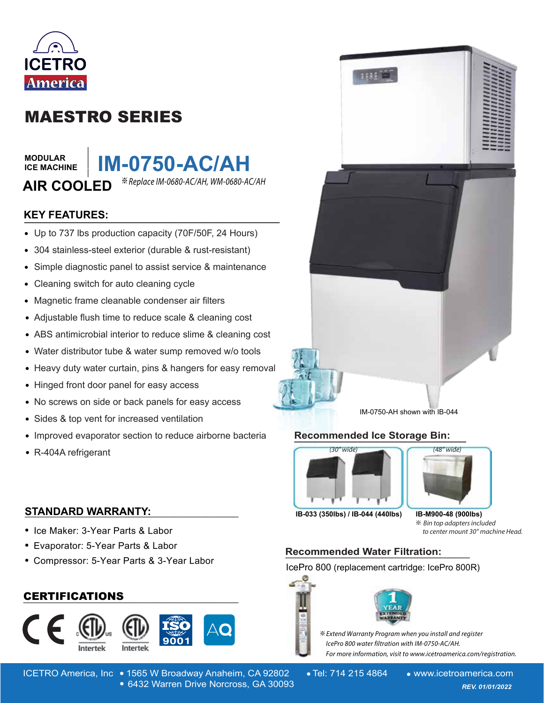

# MAESTRO SERIES

**\_\_\_\_\_\_\_**

**MODULAR ICE MACHINE** **IM-0750-AC/AH**

AIR COOLED <sup>\*\*Replace IM-0680-AC/AH, WM-0680-AC/AH</sup>

# **KEY FEATURES: \_\_\_\_\_\_\_\_\_\_\_\_\_\_\_\_\_\_\_\_\_\_\_\_\_\_\_\_\_\_**

- Up to 737 lbs production capacity (70F/50F, 24 Hours)
- 304 stainless-steel exterior (durable & rust-resistant)
- Simple diagnostic panel to assist service & maintenance  $\bullet$
- Cleaning switch for auto cleaning cycle  $\bullet$
- Magnetic frame cleanable condenser air filters  $\bullet$
- Adjustable flush time to reduce scale & cleaning cost
- ABS antimicrobial interior to reduce slime & cleaning cost
- Water distributor tube & water sump removed w/o tools
- Heavy duty water curtain, pins & hangers for easy removal
- $\bullet$ Hinged front door panel for easy access
- No screws on side or back panels for easy access  $\bullet$
- Sides & top vent for increased ventilation  $\bullet$
- Improved evaporator section to reduce airborne bacteria  $\bullet$
- R-404A refrigerant

# **STANDARD WARRANTY: \_\_\_\_\_\_\_\_\_\_\_\_\_\_\_\_\_\_\_\_\_\_\_\_\_\_\_\_\_\_\_\_\_\_\_\_\_\_\_\_**

- Ice Maker: 3-Year Parts & Labor
- Evaporator: 5-Year Parts & Labor
- Compressor: 5-Year Parts & 3-Year Labor

# **\_\_\_\_\_\_\_\_\_\_\_\_\_\_\_\_\_\_\_\_\_\_\_\_\_\_\_\_\_\_\_\_\_\_\_\_\_\_\_\_** CERTIFICATIONS







IM-0750-AH shown with IB-044

### **Recommended Ice Storage Bin: \_\_\_\_\_\_\_\_\_\_\_\_\_\_\_\_\_\_\_\_\_\_\_\_\_\_\_\_\_\_\_\_\_\_\_\_\_\_**



**IB-033 (350lbs) / IB-044 (440lbs)**

※ **IB-M900-48 (900lbs)**

(48" wide)

to center mount 30" machine Head.

# **Recommended Water Filtration: \_\_\_\_\_\_\_\_\_\_\_\_\_\_\_\_\_\_\_**

IcePro 800 (replacement cartridge: IcePro 800R)



 $\divideontimes$  Extend Warranty Program when you install and register *lcePro 800 water filtration with IM-0750-AC/AH. For more information, visit to www.icetroamerica.com/registration.*